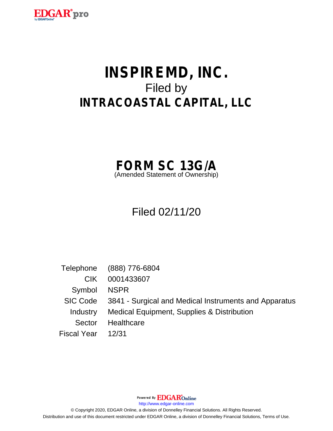

# **INSPIREMD, INC.** Filed by **INTRACOASTAL CAPITAL, LLC**



# Filed 02/11/20

Telephone (888) 776-6804 CIK 0001433607 Symbol NSPR SIC Code 3841 - Surgical and Medical Instruments and Apparatus Industry Medical Equipment, Supplies & Distribution Sector Healthcare Fiscal Year 12/31

Powered By **EDGAR**Online

http://www.edgar-online.com

© Copyright 2020, EDGAR Online, a division of Donnelley Financial Solutions. All Rights Reserved. Distribution and use of this document restricted under EDGAR Online, a division of Donnelley Financial Solutions, Terms of Use.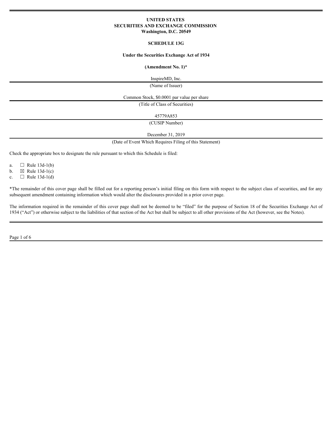# **UNITED STATES SECURITIES AND EXCHANGE COMMISSION Washington, D.C. 20549**

# **SCHEDULE 13G**

#### **Under the Securities Exchange Act of 1934**

#### **(Amendment No. 1)\***

InspireMD, Inc.

(Name of Issuer)

Common Stock, \$0.0001 par value per share

(Title of Class of Securities)

45779A853

(CUSIP Number)

December 31, 2019

(Date of Event Which Requires Filing of this Statement)

Check the appropriate box to designate the rule pursuant to which this Schedule is filed:

a.  $\Box$  Rule 13d-1(b)

b.  $\boxtimes$  Rule 13d-1(c)

c.  $\Box$  Rule 13d-1(d)

\*The remainder of this cover page shall be filled out for a reporting person's initial filing on this form with respect to the subject class of securities, and for any subsequent amendment containing information which would alter the disclosures provided in a prior cover page.

The information required in the remainder of this cover page shall not be deemed to be "filed" for the purpose of Section 18 of the Securities Exchange Act of 1934 ("Act") or otherwise subject to the liabilities of that section of the Act but shall be subject to all other provisions of the Act (however, see the Notes).

Page 1 of 6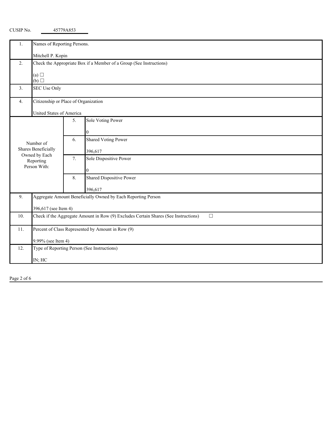| Names of Reporting Persons.<br>1.<br>Mitchell P. Kopin<br>Check the Appropriate Box if a Member of a Group (See Instructions)<br>2.<br>(a) $\square$<br>(b)<br>SEC Use Only<br>3.<br>Citizenship or Place of Organization<br>4.<br>United States of America<br>Sole Voting Power<br>5.<br>$\Omega$<br><b>Shared Voting Power</b><br>6.<br>Number of<br>Shares Beneficially<br>396,617<br>Owned by Each<br>Sole Dispositive Power<br>7.<br>Reporting<br>Person With:<br>Shared Dispositive Power<br>8.<br>396,617<br>Aggregate Amount Beneficially Owned by Each Reporting Person<br>9.<br>396,617 (see Item 4)<br>Check if the Aggregate Amount in Row (9) Excludes Certain Shares (See Instructions)<br>$\Box$<br>10.<br>Percent of Class Represented by Amount in Row (9)<br>11.<br>9.99% (see Item 4)<br>Type of Reporting Person (See Instructions)<br>12.<br>IN; HC |  |  |  |  |  |  |  |
|--------------------------------------------------------------------------------------------------------------------------------------------------------------------------------------------------------------------------------------------------------------------------------------------------------------------------------------------------------------------------------------------------------------------------------------------------------------------------------------------------------------------------------------------------------------------------------------------------------------------------------------------------------------------------------------------------------------------------------------------------------------------------------------------------------------------------------------------------------------------------|--|--|--|--|--|--|--|
|                                                                                                                                                                                                                                                                                                                                                                                                                                                                                                                                                                                                                                                                                                                                                                                                                                                                          |  |  |  |  |  |  |  |
|                                                                                                                                                                                                                                                                                                                                                                                                                                                                                                                                                                                                                                                                                                                                                                                                                                                                          |  |  |  |  |  |  |  |
|                                                                                                                                                                                                                                                                                                                                                                                                                                                                                                                                                                                                                                                                                                                                                                                                                                                                          |  |  |  |  |  |  |  |
|                                                                                                                                                                                                                                                                                                                                                                                                                                                                                                                                                                                                                                                                                                                                                                                                                                                                          |  |  |  |  |  |  |  |
|                                                                                                                                                                                                                                                                                                                                                                                                                                                                                                                                                                                                                                                                                                                                                                                                                                                                          |  |  |  |  |  |  |  |
|                                                                                                                                                                                                                                                                                                                                                                                                                                                                                                                                                                                                                                                                                                                                                                                                                                                                          |  |  |  |  |  |  |  |
|                                                                                                                                                                                                                                                                                                                                                                                                                                                                                                                                                                                                                                                                                                                                                                                                                                                                          |  |  |  |  |  |  |  |
|                                                                                                                                                                                                                                                                                                                                                                                                                                                                                                                                                                                                                                                                                                                                                                                                                                                                          |  |  |  |  |  |  |  |
|                                                                                                                                                                                                                                                                                                                                                                                                                                                                                                                                                                                                                                                                                                                                                                                                                                                                          |  |  |  |  |  |  |  |
|                                                                                                                                                                                                                                                                                                                                                                                                                                                                                                                                                                                                                                                                                                                                                                                                                                                                          |  |  |  |  |  |  |  |
|                                                                                                                                                                                                                                                                                                                                                                                                                                                                                                                                                                                                                                                                                                                                                                                                                                                                          |  |  |  |  |  |  |  |
|                                                                                                                                                                                                                                                                                                                                                                                                                                                                                                                                                                                                                                                                                                                                                                                                                                                                          |  |  |  |  |  |  |  |
|                                                                                                                                                                                                                                                                                                                                                                                                                                                                                                                                                                                                                                                                                                                                                                                                                                                                          |  |  |  |  |  |  |  |
|                                                                                                                                                                                                                                                                                                                                                                                                                                                                                                                                                                                                                                                                                                                                                                                                                                                                          |  |  |  |  |  |  |  |
|                                                                                                                                                                                                                                                                                                                                                                                                                                                                                                                                                                                                                                                                                                                                                                                                                                                                          |  |  |  |  |  |  |  |
|                                                                                                                                                                                                                                                                                                                                                                                                                                                                                                                                                                                                                                                                                                                                                                                                                                                                          |  |  |  |  |  |  |  |
|                                                                                                                                                                                                                                                                                                                                                                                                                                                                                                                                                                                                                                                                                                                                                                                                                                                                          |  |  |  |  |  |  |  |
|                                                                                                                                                                                                                                                                                                                                                                                                                                                                                                                                                                                                                                                                                                                                                                                                                                                                          |  |  |  |  |  |  |  |
|                                                                                                                                                                                                                                                                                                                                                                                                                                                                                                                                                                                                                                                                                                                                                                                                                                                                          |  |  |  |  |  |  |  |
|                                                                                                                                                                                                                                                                                                                                                                                                                                                                                                                                                                                                                                                                                                                                                                                                                                                                          |  |  |  |  |  |  |  |
|                                                                                                                                                                                                                                                                                                                                                                                                                                                                                                                                                                                                                                                                                                                                                                                                                                                                          |  |  |  |  |  |  |  |
|                                                                                                                                                                                                                                                                                                                                                                                                                                                                                                                                                                                                                                                                                                                                                                                                                                                                          |  |  |  |  |  |  |  |
|                                                                                                                                                                                                                                                                                                                                                                                                                                                                                                                                                                                                                                                                                                                                                                                                                                                                          |  |  |  |  |  |  |  |
|                                                                                                                                                                                                                                                                                                                                                                                                                                                                                                                                                                                                                                                                                                                                                                                                                                                                          |  |  |  |  |  |  |  |
|                                                                                                                                                                                                                                                                                                                                                                                                                                                                                                                                                                                                                                                                                                                                                                                                                                                                          |  |  |  |  |  |  |  |
|                                                                                                                                                                                                                                                                                                                                                                                                                                                                                                                                                                                                                                                                                                                                                                                                                                                                          |  |  |  |  |  |  |  |

CUSIP No. 45779A853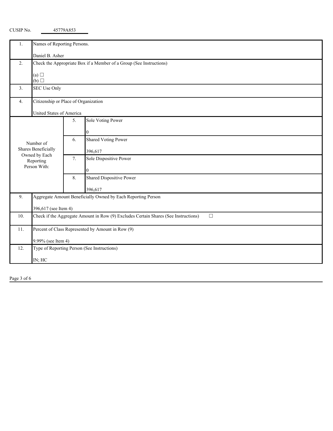| I.  | Names of Reporting Persons.                                                                   |                      |                                 |  |  |  |
|-----|-----------------------------------------------------------------------------------------------|----------------------|---------------------------------|--|--|--|
|     | Daniel B. Asher                                                                               |                      |                                 |  |  |  |
| 2.  | Check the Appropriate Box if a Member of a Group (See Instructions)                           |                      |                                 |  |  |  |
|     | (a) $\Box$<br>(b)                                                                             |                      |                                 |  |  |  |
| 3.  | SEC Use Only                                                                                  |                      |                                 |  |  |  |
| 4.  | Citizenship or Place of Organization                                                          |                      |                                 |  |  |  |
|     | United States of America                                                                      |                      |                                 |  |  |  |
|     |                                                                                               | 5.                   | Sole Voting Power               |  |  |  |
|     |                                                                                               |                      |                                 |  |  |  |
|     | Number of                                                                                     | 6.                   | <b>Shared Voting Power</b>      |  |  |  |
|     | Shares Beneficially                                                                           |                      | 396,617                         |  |  |  |
|     | Owned by Each<br>Reporting                                                                    | 7.                   | Sole Dispositive Power          |  |  |  |
|     | Person With:                                                                                  |                      |                                 |  |  |  |
|     |                                                                                               | 8.                   | <b>Shared Dispositive Power</b> |  |  |  |
|     |                                                                                               |                      | 396,617                         |  |  |  |
| 9.  | Aggregate Amount Beneficially Owned by Each Reporting Person                                  |                      |                                 |  |  |  |
|     |                                                                                               | 396,617 (see Item 4) |                                 |  |  |  |
| 10. | Check if the Aggregate Amount in Row (9) Excludes Certain Shares (See Instructions)<br>$\Box$ |                      |                                 |  |  |  |
| 11. | Percent of Class Represented by Amount in Row (9)                                             |                      |                                 |  |  |  |
|     | 9.99% (see Item 4)                                                                            |                      |                                 |  |  |  |
| 12. | Type of Reporting Person (See Instructions)                                                   |                      |                                 |  |  |  |
|     | IN; HC                                                                                        |                      |                                 |  |  |  |

Page 3 of 6

CUSIP No. 45779A853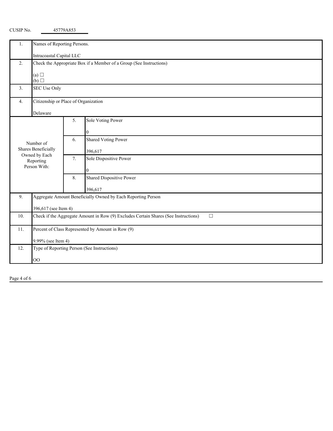| Ι.                               | Names of Reporting Persons.                                         |                                      |                                                                                               |  |  |  |
|----------------------------------|---------------------------------------------------------------------|--------------------------------------|-----------------------------------------------------------------------------------------------|--|--|--|
|                                  | Intracoastal Capital LLC                                            |                                      |                                                                                               |  |  |  |
| 2.                               | Check the Appropriate Box if a Member of a Group (See Instructions) |                                      |                                                                                               |  |  |  |
|                                  |                                                                     |                                      |                                                                                               |  |  |  |
|                                  | (a) $\Box$<br>(b)                                                   |                                      |                                                                                               |  |  |  |
| 3.                               | SEC Use Only                                                        |                                      |                                                                                               |  |  |  |
|                                  |                                                                     |                                      |                                                                                               |  |  |  |
| 4.                               |                                                                     | Citizenship or Place of Organization |                                                                                               |  |  |  |
|                                  | Delaware                                                            |                                      |                                                                                               |  |  |  |
|                                  |                                                                     | 5.                                   | Sole Voting Power                                                                             |  |  |  |
|                                  |                                                                     |                                      |                                                                                               |  |  |  |
| Number of<br>Shares Beneficially |                                                                     | 6.                                   | <b>Shared Voting Power</b>                                                                    |  |  |  |
|                                  |                                                                     |                                      |                                                                                               |  |  |  |
|                                  | Owned by Each                                                       |                                      | 396,617                                                                                       |  |  |  |
|                                  | Reporting                                                           | 7.                                   | Sole Dispositive Power                                                                        |  |  |  |
|                                  | Person With:                                                        |                                      |                                                                                               |  |  |  |
|                                  |                                                                     | 8.                                   | Shared Dispositive Power                                                                      |  |  |  |
|                                  |                                                                     |                                      | 396,617                                                                                       |  |  |  |
| 9.                               | Aggregate Amount Beneficially Owned by Each Reporting Person        |                                      |                                                                                               |  |  |  |
|                                  |                                                                     |                                      |                                                                                               |  |  |  |
|                                  | 396,617 (see Item 4)                                                |                                      |                                                                                               |  |  |  |
| 10.                              |                                                                     |                                      | Check if the Aggregate Amount in Row (9) Excludes Certain Shares (See Instructions)<br>$\Box$ |  |  |  |
| 11.                              |                                                                     |                                      | Percent of Class Represented by Amount in Row (9)                                             |  |  |  |
|                                  |                                                                     |                                      |                                                                                               |  |  |  |
| 12.                              | 9.99% (see Item 4)<br>Type of Reporting Person (See Instructions)   |                                      |                                                                                               |  |  |  |
|                                  |                                                                     |                                      |                                                                                               |  |  |  |
|                                  | <b>OO</b>                                                           |                                      |                                                                                               |  |  |  |

CUSIP No. 45779A853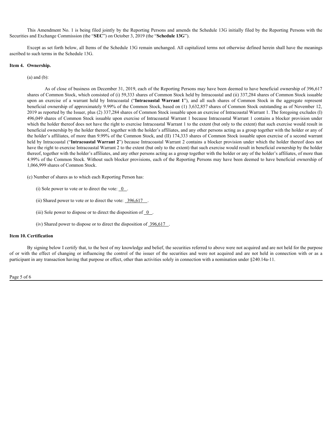This Amendment No. 1 is being filed jointly by the Reporting Persons and amends the Schedule 13G initially filed by the Reporting Persons with the Securities and Exchange Commission (the "**SEC**") on October 3, 2019 (the "**Schedule 13G**").

Except as set forth below, all Items of the Schedule 13G remain unchanged. All capitalized terms not otherwise defined herein shall have the meanings ascribed to such terms in the Schedule 13G.

# **Item 4. Ownership.**

#### (a) and (b):

As of close of business on December 31, 2019, each of the Reporting Persons may have been deemed to have beneficial ownership of 396,617 shares of Common Stock, which consisted of (i) 59,333 shares of Common Stock held by Intracoastal and (ii) 337,284 shares of Common Stock issuable This Amendment No. 1 is being filed jointly by the Reporting Persons and amends the Schedule 13G initially filed by the Reporting Persons with the<br>
and Exchange Commission (the "SCL") on October 3, 2019 (the "Schedule 13G" beneficial ownership of approximately 9.99% of the Common Stock, based on (1) 3,632,857 shares of Common Stock outstanding as of November 12, 2019 as reported by the Issuer, plus (2) 337,284 shares of Common Stock issuable upon an exercise of Intracoastal Warrant 1. The foregoing excludes (I) 496,049 shares of Common Stock issuable upon exercise of Intracoastal Warrant 1 because Intracoastal Warrant 1 contains a blocker provision under which the holder thereof does not have the right to exercise Intracoastal Warrant 1 to the extent (but only to the extent) that such exercise would result in beneficial ownership by the holder thereof, together with the holder's affiliates, and any other persons acting as a group together with the holder or any of the holder's affiliates, of more than 9.99% of the Common Stock, and (II) 174,333 shares of Common Stock issuable upon exercise of a second warrant held by Intracoastal ("**Intracoastal Warrant 2**") because Intracoastal Warrant 2 contains a blocker provision under which the holder thereof does not have the right to exercise Intracoastal Warrant 2 to the extent (but only to the extent) that such exercise would result in beneficial ownership by the holder thereof, together with the holder's affiliates, and any other persons acting as a group together with the holder or any of the holder's affiliates, of more than 4.99% of the Common Stock. Without such blocker provisions, each of the Reporting Persons may have been deemed to have beneficial ownership of 1,066,999 shares of Common Stock. of or the effect of originstate or December 31, 2019, coal of the Reporting Person any have been deemed to how beneficial ownership of 296,617<br>share of Common Stock which consisted of (i) 39,333 issues of Common Stock hel

(c) Number of shares as to which each Reporting Person has:

(i) Sole power to vote or to direct the vote:  $\overline{0}$ .

(ii) Shared power to vote or to direct the vote:  $\frac{396,617}{2}$ 

(iii) Sole power to dispose or to direct the disposition of  $\overline{0}$ .

(iv) Shared power to dispose or to direct the disposition of 396,617 .

### **Item 10. Certification**

By signing below I certify that, to the best of my knowledge and belief, the securities referred to above were not acquired and are not held for the purpose participant in any transaction having that purpose or effect, other than activities solely in connection with a nomination under §240.14a-11.

Page 5 of 6